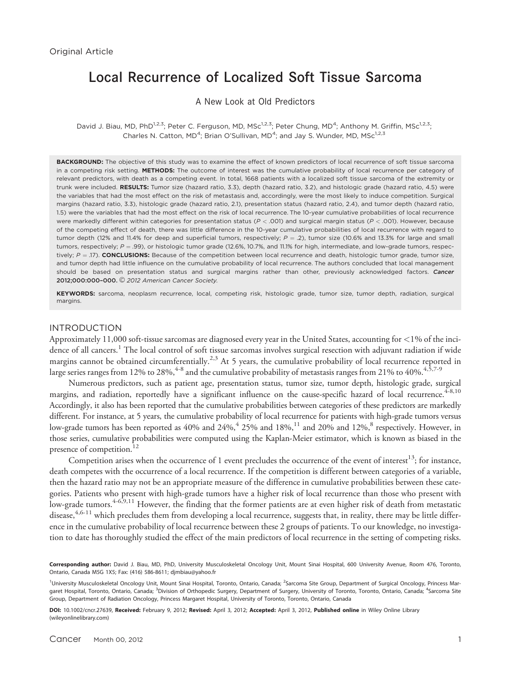# Local Recurrence of Localized Soft Tissue Sarcoma

A New Look at Old Predictors

David J. Biau, MD, PhD<sup>1,2,3</sup>; Peter C. Ferguson, MD, MSc<sup>1,2,3</sup>; Peter Chung, MD<sup>4</sup>; Anthony M. Griffin, MSc<sup>1,2,3</sup>; Charles N. Catton, MD<sup>4</sup>; Brian O'Sullivan, MD<sup>4</sup>; and Jay S. Wunder, MD, MSc<sup>1,2,3</sup>

BACKGROUND: The objective of this study was to examine the effect of known predictors of local recurrence of soft tissue sarcoma in a competing risk setting. METHODS: The outcome of interest was the cumulative probability of local recurrence per category of relevant predictors, with death as a competing event. In total, 1668 patients with a localized soft tissue sarcoma of the extremity or trunk were included. RESULTS: Tumor size (hazard ratio, 3.3), depth (hazard ratio, 3.2), and histologic grade (hazard ratio, 4.5) were the variables that had the most effect on the risk of metastasis and, accordingly, were the most likely to induce competition. Surgical margins (hazard ratio, 3.3), histologic grade (hazard ratio, 2.1), presentation status (hazard ratio, 2.4), and tumor depth (hazard ratio, 1.5) were the variables that had the most effect on the risk of local recurrence. The 10-year cumulative probabilities of local recurrence were markedly different within categories for presentation status ( $P < .001$ ) and surgical margin status ( $P < .001$ ). However, because of the competing effect of death, there was little difference in the 10-year cumulative probabilities of local recurrence with regard to tumor depth (12% and 11.4% for deep and superficial tumors, respectively;  $P = .2$ ), tumor size (10.6% and 13.3% for large and small tumors, respectively;  $P = .99$ ), or histologic tumor grade (12.6%, 10.7%, and 11.1% for high, intermediate, and low-grade tumors, respectively;  $P = .17$ ). CONCLUSIONS: Because of the competition between local recurrence and death, histologic tumor grade, tumor size, and tumor depth had little influence on the cumulative probability of local recurrence. The authors concluded that local management should be based on presentation status and surgical margins rather than other, previously acknowledged factors. Cancer 2012;000:000-000. © 2012 American Cancer Society.

KEYWORDS: sarcoma, neoplasm recurrence, local, competing risk, histologic grade, tumor size, tumor depth, radiation, surgical margins.

## INTRODUCTION

Approximately 11,000 soft-tissue sarcomas are diagnosed every year in the United States, accounting for <1% of the incidence of all cancers.<sup>1</sup> The local control of soft tissue sarcomas involves surgical resection with adjuvant radiation if wide margins cannot be obtained circumferentially.<sup>2,3</sup> At 5 years, the cumulative probability of local recurrence reported in large series ranges from 12% to 28%,<sup>4-8</sup> and the cumulative probability of metastasis ranges from 21% to 40%.<sup>4,5,7-9</sup>

Numerous predictors, such as patient age, presentation status, tumor size, tumor depth, histologic grade, surgical margins, and radiation, reportedly have a significant influence on the cause-specific hazard of local recurrence.<sup>4-8,10</sup> Accordingly, it also has been reported that the cumulative probabilities between categories of these predictors are markedly different. For instance, at 5 years, the cumulative probability of local recurrence for patients with high-grade tumors versus low-grade tumors has been reported as 40% and 24%,<sup>4</sup> 25% and 18%,<sup>11</sup> and 20% and 12%,<sup>8</sup> respectively. However, in those series, cumulative probabilities were computed using the Kaplan-Meier estimator, which is known as biased in the presence of competition.<sup>12</sup>

Competition arises when the occurrence of 1 event precludes the occurrence of the event of interest<sup>13</sup>; for instance, death competes with the occurrence of a local recurrence. If the competition is different between categories of a variable, then the hazard ratio may not be an appropriate measure of the difference in cumulative probabilities between these categories. Patients who present with high-grade tumors have a higher risk of local recurrence than those who present with low-grade tumors.4-6,9,11 However, the finding that the former patients are at even higher risk of death from metastatic disease,  $4.6-11$  which precludes them from developing a local recurrence, suggests that, in reality, there may be little difference in the cumulative probability of local recurrence between these 2 groups of patients. To our knowledge, no investigation to date has thoroughly studied the effect of the main predictors of local recurrence in the setting of competing risks.

Corresponding author: David J. Biau, MD, PhD, University Musculoskeletal Oncology Unit, Mount Sinai Hospital, 600 University Avenue, Room 476, Toronto, Ontario, Canada M5G 1X5; Fax: (416) 586-8611; djmbiau@yahoo.fr

DOI: 10.1002/cncr.27639, Received: February 9, 2012; Revised: April 3, 2012; Accepted: April 3, 2012, Published online in Wiley Online Library (wileyonlinelibrary.com)

<sup>&</sup>lt;sup>1</sup>University Musculoskeletal Oncology Unit, Mount Sinai Hospital, Toronto, Ontario, Canada; <sup>2</sup>Sarcoma Site Group, Department of Surgical Oncology, Princess Margaret Hospital, Toronto, Ontario, Canada; <sup>3</sup>Division of Orthopedic Surgery, Department of Surgery, University of Toronto, Toronto, Ontario, Canada; <sup>4</sup>Sarcoma Site Group, Department of Radiation Oncology, Princess Margaret Hospital, University of Toronto, Toronto, Ontario, Canada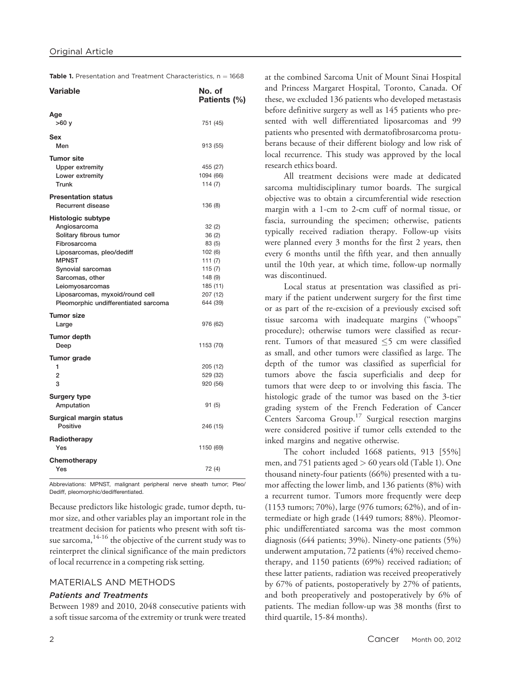Table 1. Presentation and Treatment Characteristics,  $n = 1668$ 

| <b>Variable</b>                                                                                                                                                                                                                                                 | No. of<br>Patients (%)                                                                                    |
|-----------------------------------------------------------------------------------------------------------------------------------------------------------------------------------------------------------------------------------------------------------------|-----------------------------------------------------------------------------------------------------------|
| Age<br>>60y                                                                                                                                                                                                                                                     | 751 (45)                                                                                                  |
| Sex<br>Men                                                                                                                                                                                                                                                      | 913 (55)                                                                                                  |
| <b>Tumor site</b><br><b>Upper extremity</b><br>Lower extremity<br>Trunk                                                                                                                                                                                         | 455 (27)<br>1094 (66)<br>114(7)                                                                           |
| <b>Presentation status</b><br><b>Recurrent disease</b>                                                                                                                                                                                                          | 136 (8)                                                                                                   |
| Histologic subtype<br>Angiosarcoma<br>Solitary fibrous tumor<br>Fibrosarcoma<br>Liposarcomas, pleo/dediff<br><b>MPNST</b><br>Synovial sarcomas<br>Sarcomas, other<br>Leiomyosarcomas<br>Liposarcomas, myxoid/round cell<br>Pleomorphic undifferentiated sarcoma | 32 (2)<br>36(2)<br>83 (5)<br>102(6)<br>111 $(7)$<br>115(7)<br>148 (9)<br>185 (11)<br>207 (12)<br>644 (39) |
| <b>Tumor size</b><br>Large                                                                                                                                                                                                                                      | 976 (62)                                                                                                  |
| Tumor depth<br>Deep<br>Tumor grade                                                                                                                                                                                                                              | 1153 (70)                                                                                                 |
| 1<br>$\overline{2}$<br>3                                                                                                                                                                                                                                        | 205 (12)<br>529 (32)<br>920 (56)                                                                          |
| <b>Surgery type</b><br>Amputation                                                                                                                                                                                                                               | 91 (5)                                                                                                    |
| Surgical margin status<br><b>Positive</b>                                                                                                                                                                                                                       | 246 (15)                                                                                                  |
| Radiotherapy<br>Yes                                                                                                                                                                                                                                             | 1150 (69)                                                                                                 |
| Chemotherapy<br>Yes                                                                                                                                                                                                                                             | 72 (4)                                                                                                    |

Abbreviations: MPNST, malignant peripheral nerve sheath tumor; Pleo/ Dediff, pleomorphic/dedifferentiated.

Because predictors like histologic grade, tumor depth, tumor size, and other variables play an important role in the treatment decision for patients who present with soft tissue sarcoma, <sup>14-16</sup> the objective of the current study was to reinterpret the clinical significance of the main predictors of local recurrence in a competing risk setting.

#### MATERIALS AND METHODS

#### Patients and Treatments

Between 1989 and 2010, 2048 consecutive patients with a soft tissue sarcoma of the extremity or trunk were treated

at the combined Sarcoma Unit of Mount Sinai Hospital and Princess Margaret Hospital, Toronto, Canada. Of these, we excluded 136 patients who developed metastasis before definitive surgery as well as 145 patients who presented with well differentiated liposarcomas and 99 patients who presented with dermatofibrosarcoma protuberans because of their different biology and low risk of local recurrence. This study was approved by the local research ethics board.

All treatment decisions were made at dedicated sarcoma multidisciplinary tumor boards. The surgical objective was to obtain a circumferential wide resection margin with a 1-cm to 2-cm cuff of normal tissue, or fascia, surrounding the specimen; otherwise, patients typically received radiation therapy. Follow-up visits were planned every 3 months for the first 2 years, then every 6 months until the fifth year, and then annually until the 10th year, at which time, follow-up normally was discontinued.

Local status at presentation was classified as primary if the patient underwent surgery for the first time or as part of the re-excision of a previously excised soft tissue sarcoma with inadequate margins (''whoops'' procedure); otherwise tumors were classified as recurrent. Tumors of that measured  $\leq$ 5 cm were classified as small, and other tumors were classified as large. The depth of the tumor was classified as superficial for tumors above the fascia superficialis and deep for tumors that were deep to or involving this fascia. The histologic grade of the tumor was based on the 3-tier grading system of the French Federation of Cancer Centers Sarcoma Group.17 Surgical resection margins were considered positive if tumor cells extended to the inked margins and negative otherwise.

The cohort included 1668 patients, 913 [55%] men, and 751 patients aged > 60 years old (Table 1). One thousand ninety-four patients (66%) presented with a tumor affecting the lower limb, and 136 patients (8%) with a recurrent tumor. Tumors more frequently were deep (1153 tumors; 70%), large (976 tumors; 62%), and of intermediate or high grade (1449 tumors; 88%). Pleomorphic undifferentiated sarcoma was the most common diagnosis (644 patients; 39%). Ninety-one patients (5%) underwent amputation, 72 patients (4%) received chemotherapy, and 1150 patients (69%) received radiation; of these latter patients, radiation was received preoperatively by 67% of patients, postoperatively by 27% of patients, and both preoperatively and postoperatively by 6% of patients. The median follow-up was 38 months (first to third quartile, 15-84 months).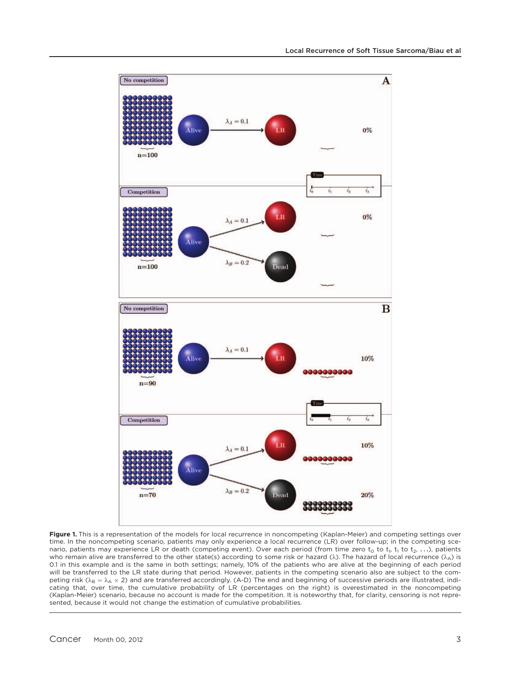

Figure 1. This is a representation of the models for local recurrence in noncompeting (Kaplan-Meier) and competing settings over time. In the noncompeting scenario, patients may only experience a local recurrence (LR) over follow-up; in the competing scenario, patients may experience LR or death (competing event). Over each period (from time zero  $t_0$  to  $t_1$ ,  $t_1$  to  $t_2$ , ...), patients who remain alive are transferred to the other state(s) according to some risk or hazard ( $\lambda$ ). The hazard of local recurrence ( $\lambda_{A}$ ) is 0.1 in this example and is the same in both settings; namely, 10% of the patients who are alive at the beginning of each period will be transferred to the LR state during that period. However, patients in the competing scenario also are subject to the competing risk ( $\lambda_B = \lambda_A \times 2$ ) and are transferred accordingly. (A-D) The end and beginning of successive periods are illustrated, indicating that, over time, the cumulative probability of LR (percentages on the right) is overestimated in the noncompeting (Kaplan-Meier) scenario, because no account is made for the competition. It is noteworthy that, for clarity, censoring is not represented, because it would not change the estimation of cumulative probabilities.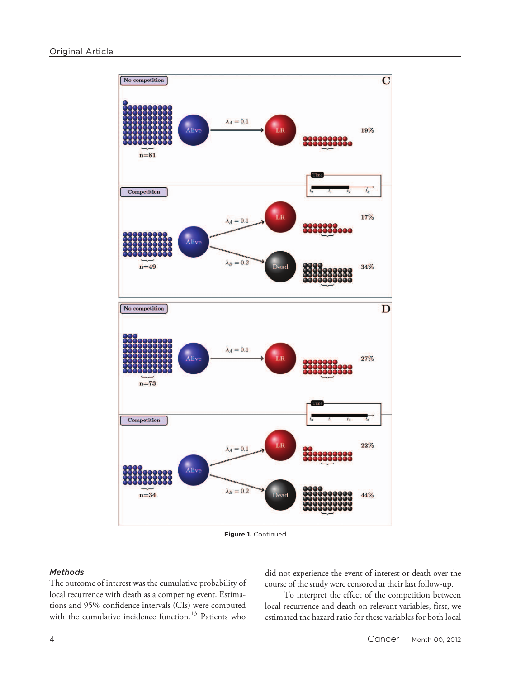

Figure 1. Continued

#### **Methods**

The outcome of interest was the cumulative probability of local recurrence with death as a competing event. Estimations and 95% confidence intervals (CIs) were computed with the cumulative incidence function.<sup>13</sup> Patients who did not experience the event of interest or death over the course of the study were censored at their last follow-up.

To interpret the effect of the competition between local recurrence and death on relevant variables, first, we estimated the hazard ratio for these variables for both local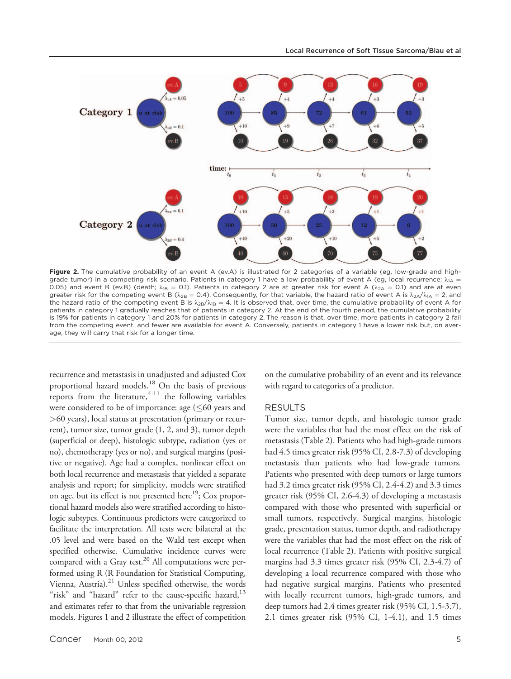

Figure 2. The cumulative probability of an event A (ev.A) is illustrated for 2 categories of a variable (eg, low-grade and highgrade tumor) in a competing risk scenario. Patients in category 1 have a low probability of event A (eg, local recurrence;  $\lambda_{1A}$  = 0.05) and event B (ev.B) (death;  $\lambda_{1B} = 0.1$ ). Patients in category 2 are at greater risk for event A ( $\lambda_{2A} = 0.1$ ) and are at even greater risk for the competing event B ( $\lambda_{2B} = 0.4$ ). Consequently, for that variable, the hazard ratio of event A is  $\lambda_{2A}/\lambda_{1A} = 2$ , and the hazard ratio of the competing event B is  $\lambda_{2B}/\lambda_{1B} = 4$ . It is observed that, over time, the cumulative probability of event A for patients in category 1 gradually reaches that of patients in category 2. At the end of the fourth period, the cumulative probability is 19% for patients in category 1 and 20% for patients in category 2. The reason is that, over time, more patients in category 2 fail from the competing event, and fewer are available for event A. Conversely, patients in category 1 have a lower risk but, on average, they will carry that risk for a longer time.

recurrence and metastasis in unadjusted and adjusted Cox proportional hazard models.18 On the basis of previous reports from the literature,  $4-11$  the following variables were considered to be of importance: age  $(60$  years and >60 years), local status at presentation (primary or recurrent), tumor size, tumor grade (1, 2, and 3), tumor depth (superficial or deep), histologic subtype, radiation (yes or no), chemotherapy (yes or no), and surgical margins (positive or negative). Age had a complex, nonlinear effect on both local recurrence and metastasis that yielded a separate analysis and report; for simplicity, models were stratified on age, but its effect is not presented here<sup>19</sup>; Cox proportional hazard models also were stratified according to histologic subtypes. Continuous predictors were categorized to facilitate the interpretation. All tests were bilateral at the .05 level and were based on the Wald test except when specified otherwise. Cumulative incidence curves were compared with a Gray test. $^{20}$  All computations were performed using R (R Foundation for Statistical Computing, Vienna, Austria).21 Unless specified otherwise, the words "risk" and "hazard" refer to the cause-specific hazard,<sup>13</sup> and estimates refer to that from the univariable regression models. Figures 1 and 2 illustrate the effect of competition

on the cumulative probability of an event and its relevance with regard to categories of a predictor.

#### RESULTS

Tumor size, tumor depth, and histologic tumor grade were the variables that had the most effect on the risk of metastasis (Table 2). Patients who had high-grade tumors had 4.5 times greater risk (95% CI, 2.8-7.3) of developing metastasis than patients who had low-grade tumors. Patients who presented with deep tumors or large tumors had 3.2 times greater risk (95% CI, 2.4-4.2) and 3.3 times greater risk (95% CI, 2.6-4.3) of developing a metastasis compared with those who presented with superficial or small tumors, respectively. Surgical margins, histologic grade, presentation status, tumor depth, and radiotherapy were the variables that had the most effect on the risk of local recurrence (Table 2). Patients with positive surgical margins had 3.3 times greater risk (95% CI, 2.3-4.7) of developing a local recurrence compared with those who had negative surgical margins. Patients who presented with locally recurrent tumors, high-grade tumors, and deep tumors had 2.4 times greater risk (95% CI, 1.5-3.7), 2.1 times greater risk (95% CI, 1-4.1), and 1.5 times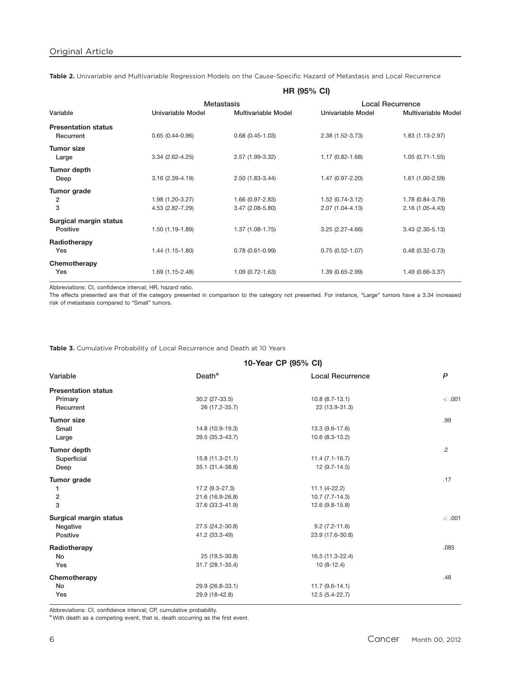|                                         | <b>HR (95% CI)</b>  |                     |                     |                            |
|-----------------------------------------|---------------------|---------------------|---------------------|----------------------------|
|                                         | <b>Metastasis</b>   |                     |                     | <b>Local Recurrence</b>    |
| Variable                                | Univariable Model   | Multivariable Model | Univariable Model   | <b>Multivariable Model</b> |
| <b>Presentation status</b><br>Recurrent | $0.65(0.44 - 0.96)$ | $0.68(0.45-1.03)$   | 2.38 (1.52-3.73)    | 1.83 (1.13-2.97)           |
| Tumor size<br>Large                     | $3.34(2.62 - 4.25)$ | 2.57 (1.99-3.32)    | 1.17 (0.82-1.68)    | $1.05(0.71 - 1.55)$        |
| Tumor depth<br>Deep                     | $3.16(2.39 - 4.19)$ | $2.50(1.83 - 3.44)$ | 1.47 (0.97-2.20)    | $1.61(1.00-2.59)$          |
| Tumor grade                             |                     |                     |                     |                            |
| 2                                       | 1.98 (1.20-3.27)    | 1.66 (0.97-2.83)    | 1.52 (0.74-3.12)    | 1.78 (0.84-3.79)           |
| 3                                       | 4.53 (2.82-7.29)    | $3.47(2.08-5.80)$   | 2.07 (1.04-4.13)    | 2.16 (1.05-4.43)           |
| Surgical margin status<br>Positive      | 1.50 (1.19-1.89)    | $1.37(1.08-1.75)$   | 3.25 (2.27-4.66)    | $3.43(2.30-5.13)$          |
| Radiotherapy<br>Yes                     | 1.44 (1.15-1.80)    | $0.78(0.61 - 0.99)$ | $0.75(0.52 - 1.07)$ | $0.48(0.32 - 0.73)$        |
| Chemotherapy<br>Yes                     | 1.69 (1.15-2.48)    | $1.09(0.72 - 1.63)$ | 1.39 (0.65-2.99)    | 1.49 (0.66-3.37)           |

Table 2. Univariable and Multivariable Regression Models on the Cause-Specific Hazard of Metastasis and Local Recurrence

Abbreviations: CI, confidence interval; HR, hazard ratio.

The effects presented are that of the category presented in comparison to the category not presented. For instance, "Large" tumors have a 3.34 increased risk of metastasis compared to "Small" tumors.

Table 3. Cumulative Probability of Local Recurrence and Death at 10 Years

|                            | 10-Year CP (95% CI) |                   |              |
|----------------------------|---------------------|-------------------|--------------|
| Variable                   | Death <sup>a</sup>  | Local Recurrence  | $\mathsf{P}$ |
| <b>Presentation status</b> |                     |                   |              |
| Primary                    | 30.2 (27-33.5)      | $10.8(8.7-13.1)$  | < .001       |
| Recurrent                  | 26 (17.2-35.7)      | 22 (13.9-31.3)    |              |
| <b>Tumor size</b>          |                     |                   | .99          |
| Small                      | 14.8 (10.9-19.3)    | 13.3 (9.6-17.6)   |              |
| Large                      | 39.5 (35.3-43.7)    | 10.6 (8.3-13.2)   |              |
| <b>Tumor depth</b>         |                     |                   | $\cdot$ .2   |
| Superficial                | 15.8 (11.3-21.1)    | $11.4(7.1-16.7)$  |              |
| Deep                       | 35.1 (31.4-38.8)    | 12 (9.7-14.5)     |              |
| Tumor grade                |                     |                   | .17          |
| 1                          | 17.2 (9.3-27.3)     | $11.1 (4-22.2)$   |              |
| $\overline{\mathbf{c}}$    | 21.6 (16.9-26.8)    | $10.7(7.7-14.3)$  |              |
| 3                          | 37.6 (33.3-41.9)    | 12.6 (9.8-15.8)   |              |
| Surgical margin status     |                     |                   | <.001        |
| Negative                   | 27.5 (24.2-30.8)    | $9.2(7.2 - 11.6)$ |              |
| Positive                   | 41.2 (33.3-49)      | 23.9 (17.6-30.8)  |              |
| Radiotherapy               |                     |                   | .085         |
| <b>No</b>                  | 25 (19.5-30.8)      | 16.5 (11.3-22.4)  |              |
| Yes                        | 31.7 (28.1-35.4)    | $10(8-12.4)$      |              |
| Chemotherapy               |                     |                   | .48          |
| <b>No</b>                  | 29.9 (26.8-33.1)    | $11.7(9.6-14.1)$  |              |
| Yes                        | 29.9 (18-42.8)      | 12.5 (5.4-22.7)   |              |
|                            |                     |                   |              |

Abbreviations: CI, confidence interval; CP, cumulative probability.

a With death as a competing event, that is, death occurring as the first event.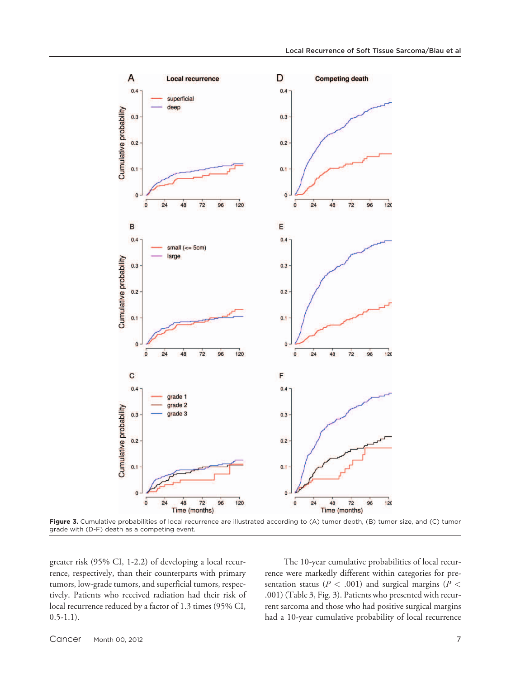

Figure 3. Cumulative probabilities of local recurrence are illustrated according to (A) tumor depth, (B) tumor size, and (C) tumor grade with (D-F) death as a competing event.

greater risk (95% CI, 1-2.2) of developing a local recurrence, respectively, than their counterparts with primary tumors, low-grade tumors, and superficial tumors, respectively. Patients who received radiation had their risk of local recurrence reduced by a factor of 1.3 times (95% CI,  $0.5-1.1$ ).

The 10-year cumulative probabilities of local recurrence were markedly different within categories for presentation status ( $P < .001$ ) and surgical margins ( $P <$ .001) (Table 3, Fig. 3). Patients who presented with recurrent sarcoma and those who had positive surgical margins had a 10-year cumulative probability of local recurrence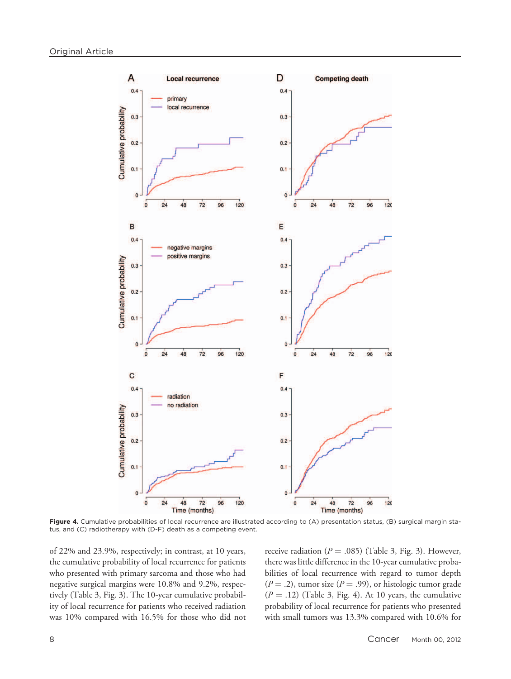

Figure 4. Cumulative probabilities of local recurrence are illustrated according to (A) presentation status, (B) surgical margin status, and (C) radiotherapy with (D-F) death as a competing event.

of 22% and 23.9%, respectively; in contrast, at 10 years, the cumulative probability of local recurrence for patients who presented with primary sarcoma and those who had negative surgical margins were 10.8% and 9.2%, respectively (Table 3, Fig. 3). The 10-year cumulative probability of local recurrence for patients who received radiation was 10% compared with 16.5% for those who did not

receive radiation ( $P = .085$ ) (Table 3, Fig. 3). However, there was little difference in the 10-year cumulative probabilities of local recurrence with regard to tumor depth  $(P = .2)$ , tumor size  $(P = .99)$ , or histologic tumor grade  $(P = .12)$  (Table 3, Fig. 4). At 10 years, the cumulative probability of local recurrence for patients who presented with small tumors was 13.3% compared with 10.6% for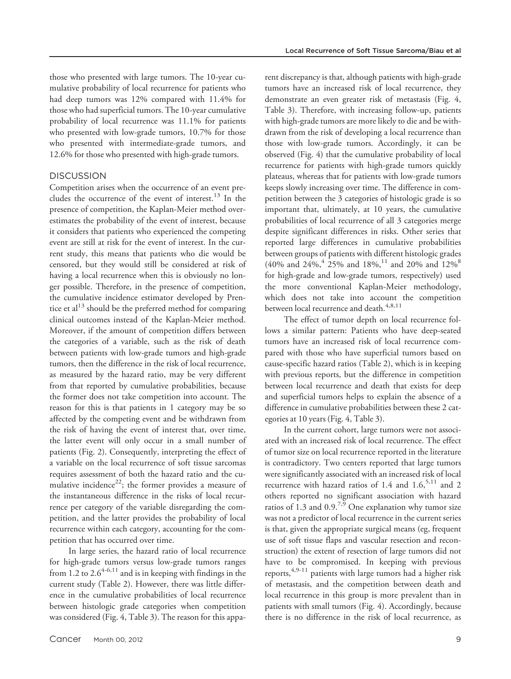those who presented with large tumors. The 10-year cumulative probability of local recurrence for patients who had deep tumors was 12% compared with 11.4% for those who had superficial tumors. The 10-year cumulative probability of local recurrence was 11.1% for patients who presented with low-grade tumors, 10.7% for those who presented with intermediate-grade tumors, and 12.6% for those who presented with high-grade tumors.

# **DISCUSSION**

Competition arises when the occurrence of an event precludes the occurrence of the event of interest. $13$  In the presence of competition, the Kaplan-Meier method overestimates the probability of the event of interest, because it considers that patients who experienced the competing event are still at risk for the event of interest. In the current study, this means that patients who die would be censored, but they would still be considered at risk of having a local recurrence when this is obviously no longer possible. Therefore, in the presence of competition, the cumulative incidence estimator developed by Prentice et  $al^{13}$  should be the preferred method for comparing clinical outcomes instead of the Kaplan-Meier method. Moreover, if the amount of competition differs between the categories of a variable, such as the risk of death between patients with low-grade tumors and high-grade tumors, then the difference in the risk of local recurrence, as measured by the hazard ratio, may be very different from that reported by cumulative probabilities, because the former does not take competition into account. The reason for this is that patients in 1 category may be so affected by the competing event and be withdrawn from the risk of having the event of interest that, over time, the latter event will only occur in a small number of patients (Fig. 2). Consequently, interpreting the effect of a variable on the local recurrence of soft tissue sarcomas requires assessment of both the hazard ratio and the cumulative incidence<sup>22</sup>; the former provides a measure of the instantaneous difference in the risks of local recurrence per category of the variable disregarding the competition, and the latter provides the probability of local recurrence within each category, accounting for the competition that has occurred over time.

In large series, the hazard ratio of local recurrence for high-grade tumors versus low-grade tumors ranges from 1.2 to  $2.6^{4-6,11}$  and is in keeping with findings in the current study (Table 2). However, there was little difference in the cumulative probabilities of local recurrence between histologic grade categories when competition was considered (Fig. 4, Table 3). The reason for this apparent discrepancy is that, although patients with high-grade tumors have an increased risk of local recurrence, they demonstrate an even greater risk of metastasis (Fig. 4, Table 3). Therefore, with increasing follow-up, patients with high-grade tumors are more likely to die and be withdrawn from the risk of developing a local recurrence than those with low-grade tumors. Accordingly, it can be observed (Fig. 4) that the cumulative probability of local recurrence for patients with high-grade tumors quickly plateaus, whereas that for patients with low-grade tumors keeps slowly increasing over time. The difference in competition between the 3 categories of histologic grade is so important that, ultimately, at 10 years, the cumulative probabilities of local recurrence of all 3 categories merge despite significant differences in risks. Other series that reported large differences in cumulative probabilities between groups of patients with different histologic grades (40% and 24%,  $4^4$  25% and 18%,  $^{11}$  and 20% and 12%  $^8$ for high-grade and low-grade tumors, respectively) used the more conventional Kaplan-Meier methodology, which does not take into account the competition between local recurrence and death.<sup>4,8,11</sup>

The effect of tumor depth on local recurrence follows a similar pattern: Patients who have deep-seated tumors have an increased risk of local recurrence compared with those who have superficial tumors based on cause-specific hazard ratios (Table 2), which is in keeping with previous reports, but the difference in competition between local recurrence and death that exists for deep and superficial tumors helps to explain the absence of a difference in cumulative probabilities between these 2 categories at 10 years (Fig. 4, Table 3).

In the current cohort, large tumors were not associated with an increased risk of local recurrence. The effect of tumor size on local recurrence reported in the literature is contradictory. Two centers reported that large tumors were significantly associated with an increased risk of local recurrence with hazard ratios of 1.4 and  $1.6$ ,  $5.11$  and 2 others reported no significant association with hazard ratios of 1.3 and 0.9.<sup>7,9</sup> One explanation why tumor size was not a predictor of local recurrence in the current series is that, given the appropriate surgical means (eg, frequent use of soft tissue flaps and vascular resection and reconstruction) the extent of resection of large tumors did not have to be compromised. In keeping with previous reports,4,9-11 patients with large tumors had a higher risk of metastasis, and the competition between death and local recurrence in this group is more prevalent than in patients with small tumors (Fig. 4). Accordingly, because there is no difference in the risk of local recurrence, as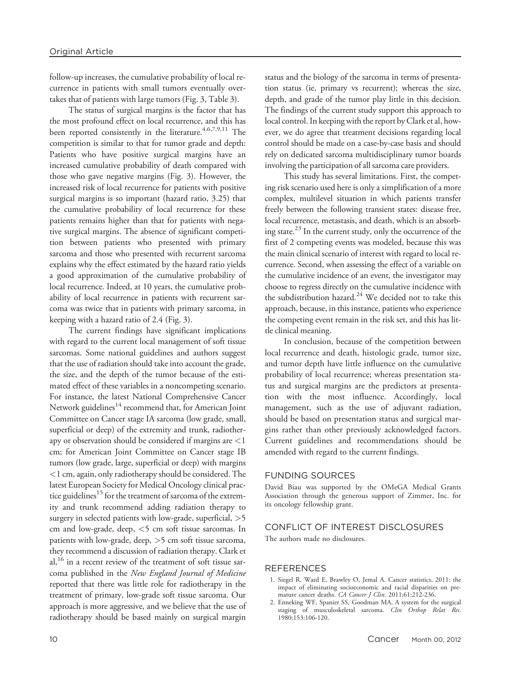follow-up increases, the cumulative probability of local recurrence in patients with small tumors eventually overtakes that of patients with large tumors (Fig. 3, Table 3).

The status of surgical margins is the factor that has the most profound effect on local recurrence, and this has been reported consistently in the literature.<sup>4,6,7,9,11</sup> The competition is similar to that for tumor grade and depth: Patients who have positive surgical margins have an increased cumulative probability of death compared with those who gave negative margins (Fig. 3). However, the increased risk of local recurrence for patients with positive surgical margins is so important (hazard ratio, 3.25) that the cumulative probability of local recurrence for these patients remains higher than that for patients with negative surgical margins. The absence of significant competition between patients who presented with primary sarcoma and those who presented with recurrent sarcoma explains why the effect estimated by the hazard ratio yields a good approximation of the cumulative probability of local recurrence. Indeed, at 10 years, the cumulative probability of local recurrence in patients with recurrent sarcoma was twice that in patients with primary sarcoma, in keeping with a hazard ratio of 2.4 (Fig. 3).

The current findings have significant implications with regard to the current local management of soft tissue sarcomas. Some national guidelines and authors suggest that the use of radiation should take into account the grade, the size, and the depth of the tumor because of the estimated effect of these variables in a noncompeting scenario. For instance, the latest National Comprehensive Cancer Network guidelines<sup>14</sup> recommend that, for American Joint Committee on Cancer stage IA sarcoma (low grade, small, superficial or deep) of the extremity and trunk, radiotherapy or observation should be considered if margins are <1 cm; for American Joint Committee on Cancer stage IB tumors (low grade, large, superficial or deep) with margins <1 cm, again, only radiotherapy should be considered. The latest European Society for Medical Oncology clinical practice guidelines<sup>15</sup> for the treatment of sarcoma of the extremity and trunk recommend adding radiation therapy to surgery in selected patients with low-grade, superficial, >5 cm and low-grade, deep, <5 cm soft tissue sarcomas. In patients with low-grade, deep, >5 cm soft tissue sarcoma, they recommend a discussion of radiation therapy. Clark et al,<sup>16</sup> in a recent review of the treatment of soft tissue sarcoma published in the New England Journal of Medicine reported that there was little role for radiotherapy in the treatment of primary, low-grade soft tissue sarcoma. Our approach is more aggressive, and we believe that the use of radiotherapy should be based mainly on surgical margin status and the biology of the sarcoma in terms of presentation status (ie, primary vs recurrent); whereas the size, depth, and grade of the tumor play little in this decision. The findings of the current study support this approach to local control. In keeping with the report by Clark et al, however, we do agree that treatment decisions regarding local control should be made on a case-by-case basis and should rely on dedicated sarcoma multidisciplinary tumor boards involving the participation of all sarcoma care providers.

This study has several limitations. First, the competing risk scenario used here is only a simplification of a more complex, multilevel situation in which patients transfer freely between the following transient states: disease free, local recurrence, metastasis, and death, which is an absorbing state. $^{23}$  In the current study, only the occurrence of the first of 2 competing events was modeled, because this was the main clinical scenario of interest with regard to local recurrence. Second, when assessing the effect of a variable on the cumulative incidence of an event, the investigator may choose to regress directly on the cumulative incidence with the subdistribution hazard.<sup>24</sup> We decided not to take this approach, because, in this instance, patients who experience the competing event remain in the risk set, and this has little clinical meaning.

In conclusion, because of the competition between local recurrence and death, histologic grade, tumor size, and tumor depth have little influence on the cumulative probability of local recurrence; whereas presentation status and surgical margins are the predictors at presentation with the most influence. Accordingly, local management, such as the use of adjuvant radiation, should be based on presentation status and surgical margins rather than other previously acknowledged factors. Current guidelines and recommendations should be amended with regard to the current findings.

# FUNDING SOURCES

David Biau was supported by the OMeGA Medical Grants Association through the generous support of Zimmer, Inc. for its oncology fellowship grant.

# CONFLICT OF INTEREST DISCLOSURES

The authors made no disclosures.

#### REFERENCES

- 1. Siegel R, Ward E, Brawley O, Jemal A. Cancer statistics, 2011: the impact of eliminating socioeconomic and racial disparities on premature cancer deaths. CA Cancer J Clin. 2011;61:212-236.
- 2. Enneking WF, Spanier SS, Goodman MA. A system for the surgical staging of musculoskeletal sarcoma. *Clin Orthop Relat Res*. 1980;153:106-120.